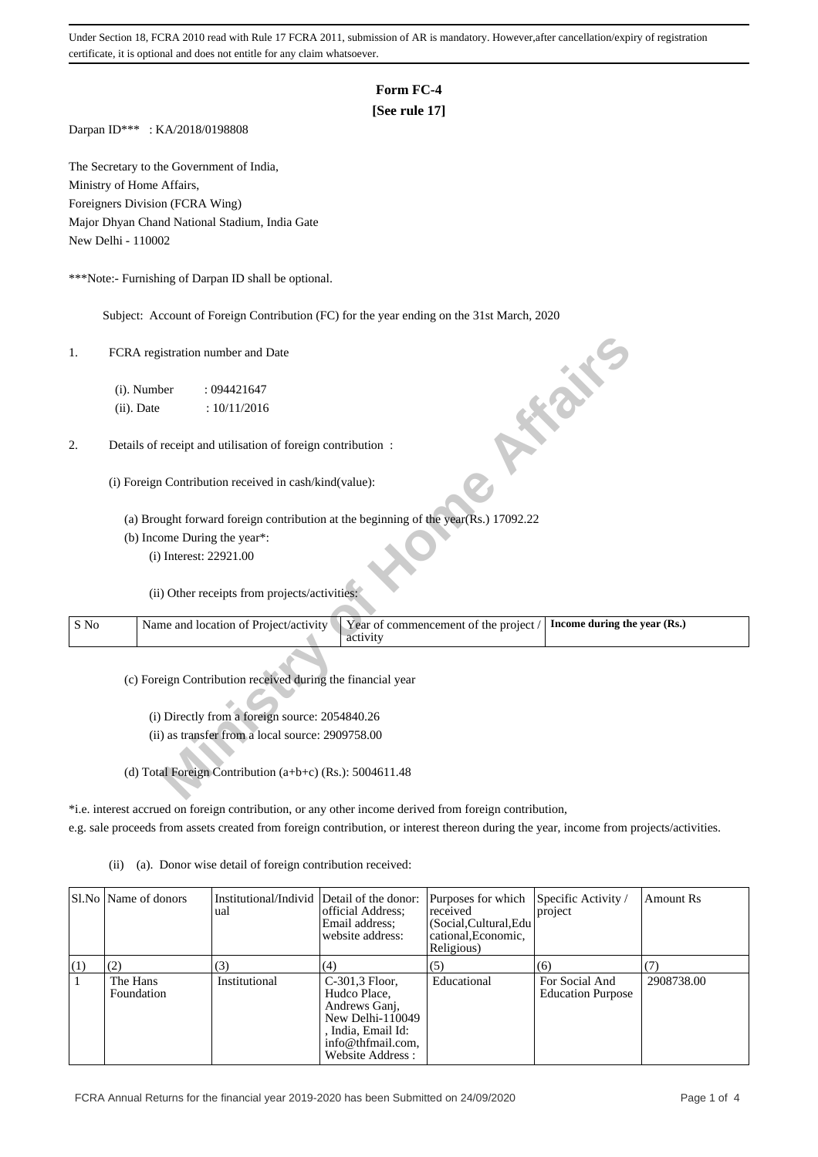Under Section 18, FCRA 2010 read with Rule 17 FCRA 2011, submission of AR is mandatory. However,after cancellation/expiry of registration certificate, it is optional and does not entitle for any claim whatsoever.

#### **Form FC-4**

### **[See rule 17]**

Darpan ID\*\*\* : KA/2018/0198808

The Secretary to the Government of India, Ministry of Home Affairs, Foreigners Division (FCRA Wing) Major Dhyan Chand National Stadium, India Gate New Delhi - 110002

\*\*\*Note:- Furnishing of Darpan ID shall be optional.

Subject: Account of Foreign Contribution (FC) for the year ending on the 31st March, 2020

| 1.             | FCRA registration number and Date                                                                                          |  |
|----------------|----------------------------------------------------------------------------------------------------------------------------|--|
|                | (i). Number<br>: 094421647                                                                                                 |  |
|                | <b>FORE</b><br>(ii). Date<br>: 10/11/2016                                                                                  |  |
| 2.             | Details of receipt and utilisation of foreign contribution :                                                               |  |
|                | (i) Foreign Contribution received in cash/kind(value):                                                                     |  |
|                | (a) Brought forward foreign contribution at the beginning of the year(Rs.) 17092.22                                        |  |
|                | (b) Income During the year*:                                                                                               |  |
|                | (i) Interest: 22921.00                                                                                                     |  |
|                | (ii) Other receipts from projects/activities:                                                                              |  |
| $\mathbf S$ No | Year of commencement of the project /<br>Name and location of Project/activity<br>Income during the year (Rs.)<br>activity |  |
|                | (c) Foreign Contribution received during the financial year                                                                |  |
|                | (i) Directly from a foreign source: 2054840.26                                                                             |  |
|                | (ii) as transfer from a local source: 2909758.00                                                                           |  |
|                |                                                                                                                            |  |
|                | (d) Total Foreign Contribution (a+b+c) (Rs.): 5004611.48                                                                   |  |

\*i.e. interest accrued on foreign contribution, or any other income derived from foreign contribution,

e.g. sale proceeds from assets created from foreign contribution, or interest thereon during the year, income from projects/activities.

(ii) (a). Donor wise detail of foreign contribution received:

|     | SLNo Name of donors    | Institutional/Individ Detail of the donor:<br>ual | official Address:<br>Email address:<br>website address:                                                                            | Purposes for which<br>received<br>(Social, Cultural, Edu<br>cational. Economic.<br>Religious) | Specific Activity /<br>project             | Amount Rs  |
|-----|------------------------|---------------------------------------------------|------------------------------------------------------------------------------------------------------------------------------------|-----------------------------------------------------------------------------------------------|--------------------------------------------|------------|
| (1) | (2)                    | (3)                                               | (4)                                                                                                                                | (5)                                                                                           | (6)                                        |            |
|     | The Hans<br>Foundation | Institutional                                     | C-301,3 Floor,<br>Hudco Place,<br>Andrews Gani,<br>New Delhi-110049<br>, India, Email Id:<br>info@thfmail.com,<br>Website Address: | Educational                                                                                   | For Social And<br><b>Education Purpose</b> | 2908738.00 |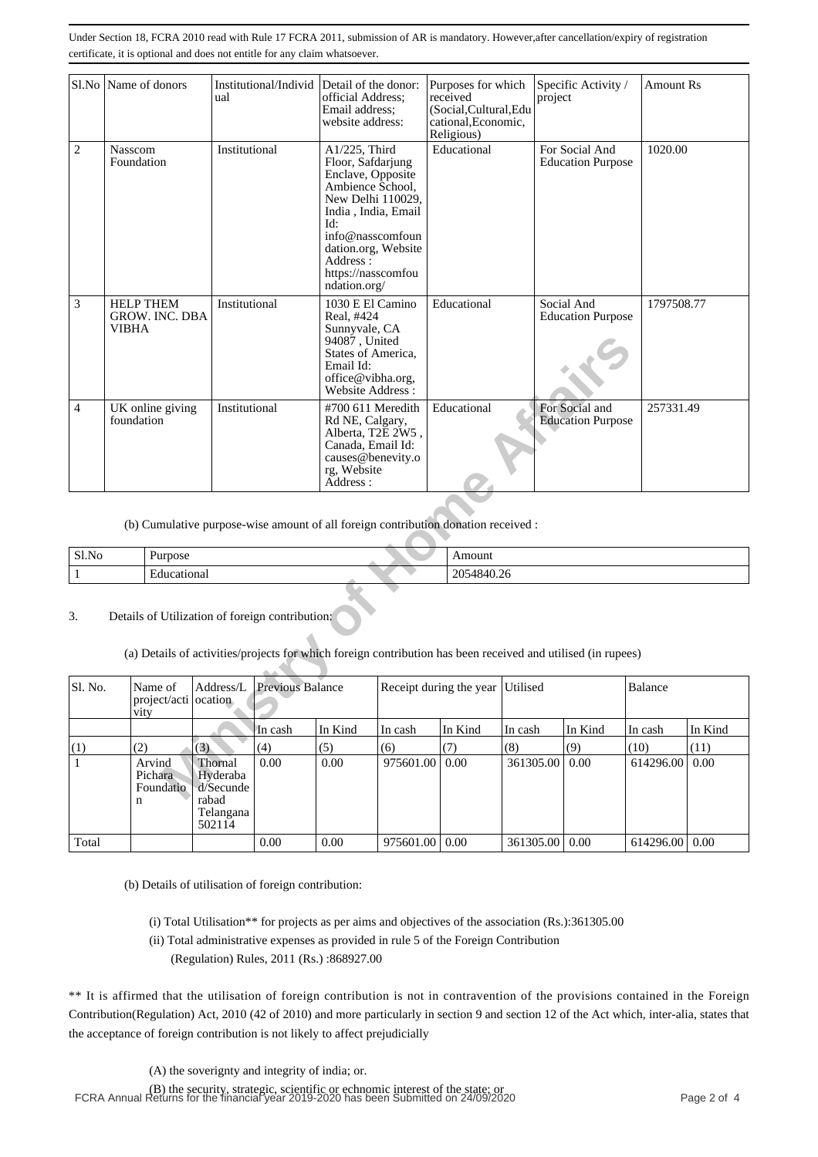Under Section 18, FCRA 2010 read with Rule 17 FCRA 2011, submission of AR is mandatory. However,after cancellation/expiry of registration certificate, it is optional and does not entitle for any claim whatsoever.

|                | Sl.No Name of donors<br>Institutional/Individ Detail of the donor:<br>ual |                                 | official Address:<br>Email address;<br>website address:                                                                                                                                                                     |                                                                                                                                                             | Purposes for which<br>received<br>(Social, Cultural, Edu<br>cational, Economic,<br>Religious) |                | Specific Activity /<br>project                                                                               | <b>Amount Rs</b> |          |           |         |
|----------------|---------------------------------------------------------------------------|---------------------------------|-----------------------------------------------------------------------------------------------------------------------------------------------------------------------------------------------------------------------------|-------------------------------------------------------------------------------------------------------------------------------------------------------------|-----------------------------------------------------------------------------------------------|----------------|--------------------------------------------------------------------------------------------------------------|------------------|----------|-----------|---------|
| $\overline{2}$ | Institutional<br><b>Nasscom</b><br>Foundation                             |                                 | A1/225, Third<br>Floor, Safdarjung<br>Enclave, Opposite<br>Ambience School,<br>New Delhi 110029,<br>India, India, Email<br>Id:<br>info@nasscomfoun<br>dation.org, Website<br>Address:<br>https://nasscomfou<br>ndation.org/ |                                                                                                                                                             | Educational                                                                                   |                | For Social And<br><b>Education Purpose</b>                                                                   | 1020.00          |          |           |         |
| 3              | <b>HELP THEM</b><br>Institutional<br><b>GROW. INC. DBA</b><br>VIBHA       |                                 |                                                                                                                                                                                                                             | 1030 E El Camino<br>Educational<br>Real, #424<br>Sunnyvale, CA<br>94087, United<br>States of America,<br>Email Id:<br>office@vibha.org,<br>Website Address: |                                                                                               |                | Social And<br><b>Education Purpose</b>                                                                       | 1797508.77       |          |           |         |
| $\overline{4}$ | UK online giving<br>Institutional<br>foundation                           |                                 |                                                                                                                                                                                                                             | Educational<br>#700 611 Meredith<br>Rd NE, Calgary,<br>Alberta, T2E 2W5,<br>Canada, Email Id:<br>causes@benevity.o<br>rg, Website<br>Address:               |                                                                                               |                | For Social and<br><b>Education Purpose</b>                                                                   | 257331.49        |          |           |         |
|                |                                                                           |                                 |                                                                                                                                                                                                                             |                                                                                                                                                             |                                                                                               |                | (b) Cumulative purpose-wise amount of all foreign contribution donation received :                           |                  |          |           |         |
| Sl.No          |                                                                           | Purpose                         |                                                                                                                                                                                                                             |                                                                                                                                                             |                                                                                               |                | Amount                                                                                                       |                  |          |           |         |
| $\mathbf{1}$   |                                                                           | Educational                     |                                                                                                                                                                                                                             |                                                                                                                                                             |                                                                                               |                | 2054840.26                                                                                                   |                  |          |           |         |
| 3.             |                                                                           |                                 |                                                                                                                                                                                                                             | Details of Utilization of foreign contribution:                                                                                                             |                                                                                               |                | (a) Details of activities/projects for which foreign contribution has been received and utilised (in rupees) |                  |          |           |         |
| Sl. No.        | vity                                                                      | Name of<br>project/acti ocation | Address/L                                                                                                                                                                                                                   | Previous Balance                                                                                                                                            |                                                                                               |                | Receipt during the year Utilised                                                                             |                  |          | Balance   |         |
|                |                                                                           |                                 |                                                                                                                                                                                                                             | In cash                                                                                                                                                     | In Kind                                                                                       | In cash        | In Kind                                                                                                      | In cash          | In Kind  | In cash   | In Kind |
| (1)            | (2)                                                                       |                                 | (3)                                                                                                                                                                                                                         | (4)                                                                                                                                                         | (5)                                                                                           | (6)            | (7)                                                                                                          | (8)              | (9)      | (10)      | (11)    |
| 1              |                                                                           | Arvind<br>Pichara<br>Foundatio  | Thornal<br>Hyderaba<br>d/Secunde<br>rahad                                                                                                                                                                                   | 0.00                                                                                                                                                        | 0.00                                                                                          | 975601.00 0.00 |                                                                                                              | 361305.00        | $0.00\,$ | 614296.00 | 0.00    |

| Sl.No | <b>Purpose</b> | Amount                                         |
|-------|----------------|------------------------------------------------|
|       | ducationa.     | -<br>nne.<br>$^{\prime}$ A i<br>∠UJ<br>−∪−∪.∠∖ |

## 3. Details of Utilization of foreign contribution:

| Sl. No. | Name of<br>project/acti ocation<br>vity | Address/L                                                        | <b>Previous Balance</b> |         | Receipt during the year Utilised |         |                       |         | Balance          |         |
|---------|-----------------------------------------|------------------------------------------------------------------|-------------------------|---------|----------------------------------|---------|-----------------------|---------|------------------|---------|
|         |                                         |                                                                  | In cash                 | In Kind | In cash                          | In Kind | In cash               | In Kind | In cash          | In Kind |
| (1)     | (2)                                     | (3)                                                              | (4)                     | (5)     | (6)                              | (7)     | (8)                   | (9)     | (10)             | (11)    |
|         | Arvind<br>Pichara<br>Foundatio<br>n     | Thornal<br>Hyderaba<br>d/Secunde<br>rabad<br>Telangana<br>502114 | 0.00                    | 0.00    | 975601.00   0.00                 |         | $361305.00 \mid 0.00$ |         | 614296.00        | 0.00    |
| Total   |                                         |                                                                  | 0.00                    | 0.00    | 975601.00   0.00                 |         | 361305.00   0.00      |         | 614296.00   0.00 |         |

(b) Details of utilisation of foreign contribution:

- (i) Total Utilisation\*\* for projects as per aims and objectives of the association (Rs.):361305.00
- (ii) Total administrative expenses as provided in rule 5 of the Foreign Contribution (Regulation) Rules, 2011 (Rs.) :868927.00

\*\* It is affirmed that the utilisation of foreign contribution is not in contravention of the provisions contained in the Foreign Contribution(Regulation) Act, 2010 (42 of 2010) and more particularly in section 9 and section 12 of the Act which, inter-alia, states that the acceptance of foreign contribution is not likely to affect prejudicially

(A) the soverignty and integrity of india; or.

(B) the security, strategic, scientific or echnomic interest of the state; or FCRA Annual Returns for the financial year 2019-2020 has been Submitted on 24/09/2020 Page 2 of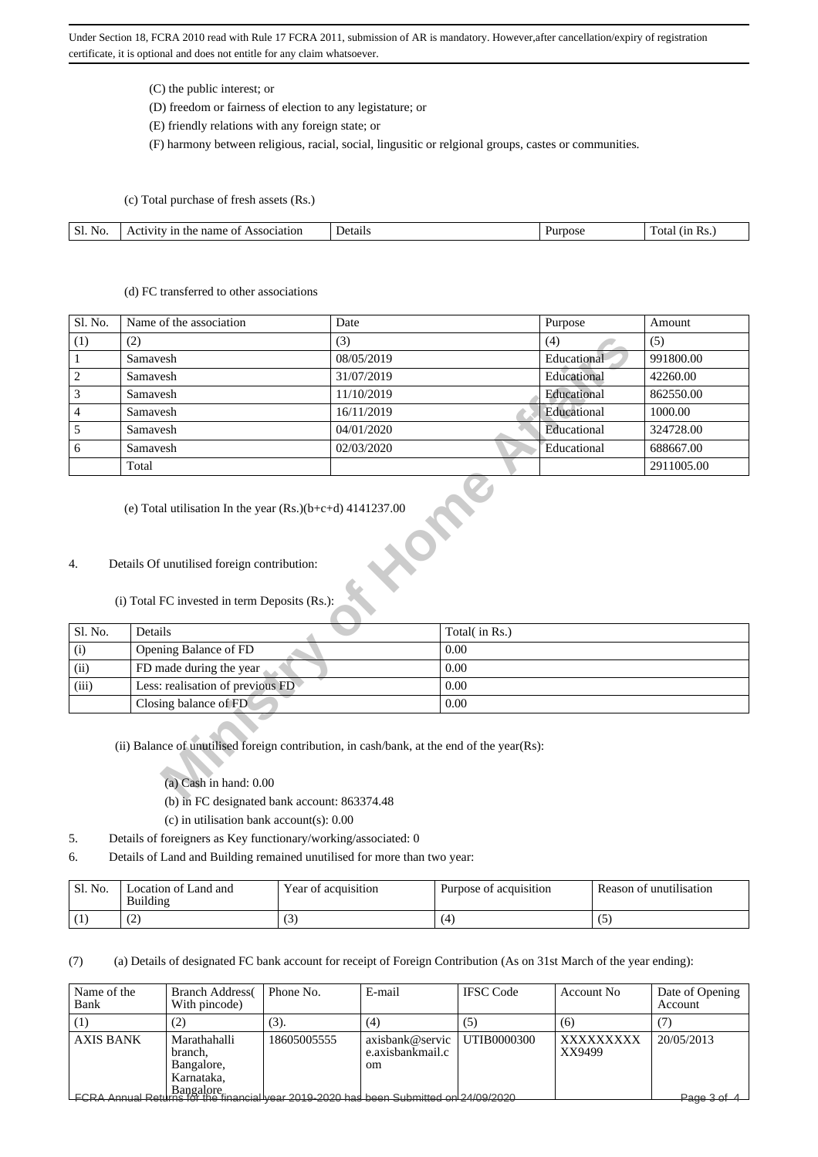Under Section 18, FCRA 2010 read with Rule 17 FCRA 2011, submission of AR is mandatory. However,after cancellation/expiry of registration certificate, it is optional and does not entitle for any claim whatsoever.

(C) the public interest; or

(D) freedom or fairness of election to any legistature; or

(E) friendly relations with any foreign state; or

(F) harmony between religious, racial, social, lingusitic or relgional groups, castes or communities.

(c) Total purchase of fresh assets (Rs.)

| Sl.<br>$\sim$<br>No. | name<br>Association<br>11<br>-01<br>'1V11<br>ane | Details | mose | -<br>(11)<br>KS.<br>ota. |
|----------------------|--------------------------------------------------|---------|------|--------------------------|

#### (d) FC transferred to other associations

| Sl. No.                                                                                                                                                                               | Name of the association                                                                      | Date           |  | Purpose     | Amount     |  |  |  |  |  |
|---------------------------------------------------------------------------------------------------------------------------------------------------------------------------------------|----------------------------------------------------------------------------------------------|----------------|--|-------------|------------|--|--|--|--|--|
| (1)                                                                                                                                                                                   | (2)                                                                                          | (3)            |  | (4)         | (5)        |  |  |  |  |  |
| $\mathbf{1}$                                                                                                                                                                          | Samavesh                                                                                     | 08/05/2019     |  | Educational | 991800.00  |  |  |  |  |  |
| $\overline{\mathbf{c}}$                                                                                                                                                               | Samavesh                                                                                     | 31/07/2019     |  | Educational | 42260.00   |  |  |  |  |  |
| 3                                                                                                                                                                                     | Samavesh                                                                                     | 11/10/2019     |  | Educational | 862550.00  |  |  |  |  |  |
| 4                                                                                                                                                                                     | Samavesh                                                                                     | 16/11/2019     |  | Educational | 1000.00    |  |  |  |  |  |
| 5                                                                                                                                                                                     | Samavesh                                                                                     | 04/01/2020     |  | Educational | 324728.00  |  |  |  |  |  |
| 6                                                                                                                                                                                     | Samavesh                                                                                     | 02/03/2020     |  | Educational | 688667.00  |  |  |  |  |  |
|                                                                                                                                                                                       | Total                                                                                        |                |  |             | 2911005.00 |  |  |  |  |  |
| 4.                                                                                                                                                                                    | Details Of unutilised foreign contribution:<br>(i) Total FC invested in term Deposits (Rs.): |                |  |             |            |  |  |  |  |  |
| Sl. No.                                                                                                                                                                               | Details                                                                                      | Total( in Rs.) |  |             |            |  |  |  |  |  |
| (i)                                                                                                                                                                                   | Opening Balance of FD                                                                        | 0.00           |  |             |            |  |  |  |  |  |
| (ii)                                                                                                                                                                                  | FD made during the year                                                                      | 0.00           |  |             |            |  |  |  |  |  |
| (iii)                                                                                                                                                                                 | Less: realisation of previous FD                                                             | 0.00           |  |             |            |  |  |  |  |  |
|                                                                                                                                                                                       | Closing balance of FD<br>0.00                                                                |                |  |             |            |  |  |  |  |  |
| (ii) Balance of unutilised foreign contribution, in cash/bank, at the end of the year(Rs):<br>$(a)$ Cash in hand: $0.00$<br>$T_{\rm C}$ 1 $\rightarrow$ 11 1 $\rightarrow$ 0.00074.40 |                                                                                              |                |  |             |            |  |  |  |  |  |

## 4. Details Of unutilised foreign contribution:

# (i) Total FC invested in term Deposits (Rs.):

| Sl. No. | Details                          | Total( in Rs.) |
|---------|----------------------------------|----------------|
| (i)     | Opening Balance of FD            | 0.00           |
| (ii)    | FD made during the year          | 0.00           |
| (iii)   | Less: realisation of previous FD | 0.00           |
|         | Closing balance of FD            | 0.00           |

#### (ii) Balance of unutilised foreign contribution, in cash/bank, at the end of the year(Rs):

- (b) in FC designated bank account: 863374.48
- (c) in utilisation bank account(s): 0.00
- 5. Details of foreigners as Key functionary/working/associated: 0
- 6. Details of Land and Building remained unutilised for more than two year:

| ' Sl. No. | Location of Land and<br>Building | Year of acquisition | Purpose of acquisition | Reason of unutilisation |
|-----------|----------------------------------|---------------------|------------------------|-------------------------|
| <b>U</b>  | $\sqrt{2}$<br>╰                  | U.                  |                        | $\sim$                  |

(7) (a) Details of designated FC bank account for receipt of Foreign Contribution (As on 31st March of the year ending):

| Name of the<br>Bank | <b>Branch Address</b><br>With pincode)                              | Phone No.   | E-mail                                                                                                                                         | <b>IFSC</b> Code | Account No          | Date of Opening<br>Account |
|---------------------|---------------------------------------------------------------------|-------------|------------------------------------------------------------------------------------------------------------------------------------------------|------------------|---------------------|----------------------------|
|                     | (2)                                                                 | (3).        | (4)                                                                                                                                            | (၁)              | (6)                 |                            |
| <b>AXIS BANK</b>    | Marathahalli<br>branch.<br>Bangalore,<br>Karnataka,                 | 18605005555 | axisbank@servic<br>e.axisbankmail.c<br><sub>om</sub><br>ECRA Annual Petiting for the financial vear 2019-2020 has been Submitted on 24/09/2020 | UTIB0000300      | XXXXXXXXX<br>XX9499 | 20/05/2013                 |
|                     | <del>\HHUdi RUlumo ivi tilo ililahular yoar zu i<i>u z</i>uzu</del> |             |                                                                                                                                                |                  |                     | Page 3 of 4                |